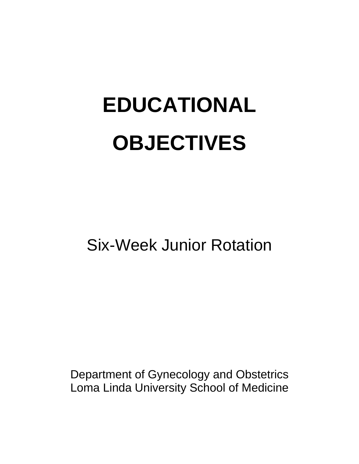# **EDUCATIONAL OBJECTIVES**

Six-Week Junior Rotation

Department of Gynecology and Obstetrics Loma Linda University School of Medicine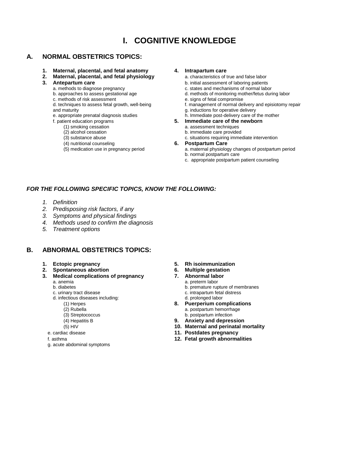### **I. COGNITIVE KNOWLEDGE**

### **A. NORMAL OBSTETRICS TOPICS:**

- **1. Maternal, placental, and fetal anatomy 4. Intrapartum care**
- **2. Maternal, placental, and fetal physiology a. characteristics of true and false labor**
- -
	-
	- c. methods of risk assessment<br>d. techniques to assess fetal growth, well-being
	- and maturity<br>
	e. appropriate prenatal diagnosis studies<br>
	e. appropriate prenatal diagnosis studies<br>
	th. Immediate post-delivery care of
	- -
		-
		-
		-
		-
		- (4) nutritional counseling **6. Postpartum Care**

- 
- **3. Antepartum care b.** initial assessment of laboring patients a. methods to diagnose pregnancy **b. b.** c. states and mechanisms of normal laboring patients
	- a. methods to diagnose pregnancy<br>
	b. approaches to assess gestational age d. methods of monitoring mother/fetus during<br>
	d. methods of monitoring mother/fetus during
		- d. methods of monitoring mother/fetus during labor<br>e. signs of fetal compromise
		-
		- f. management of normal delivery and episiotomy repair
		-
	- e. appropriate prenatal diagnosis studies h. Immediate post-delivery care of the mother f. patient education programs **b.** Immediate care of the newborn
		- f. patient education programs **5. Immediate care of the newborn**
		- (1) smoking cessation a. assessment techniques<br>
		(2) alcohol cessation and the care provider and the care provider
		- (2) alcohol cessation b. immediate care provided<br>
		(3) substance abuse c. situations requiring immediate care provided<br>
		c. situations requiring imme
			- c. situations requiring immediate intervention

- a. maternal physiology changes of postpartum period b. normal postpartum care
- c. appropriate postpartum patient counseling

#### *FOR THE FOLLOWING SPECIFIC TOPICS, KNOW THE FOLLOWING:*

- *1. Definition*
- *2. Predisposing risk factors, if any*
- *3. Symptoms and physical findings*
- *4. Methods used to confirm the diagnosis*
- *5. Treatment options*

### **B. ABNORMAL OBSTETRICS TOPICS:**

- 
- 
- **2. Spontaneous abortion 6. Multiple gestation 3. Medical complications of pregnancy** 
	- -
		-
		- d. infectious diseases including:<br>(1) Herpes
			-
			-
			-
			-
			-
	-
	-
	- g. acute abdominal symptoms
- **1. Ectopic pregnancy 5. Rh isoimmunization**
	-
	-
	- a. anemia a. preterm labor
	- b. diabetes b. premature rupture of membranes c. urinary tract disease c. urinary tract disease c. urinary tract disease
		- c. intrapartum fetal distress<br>d. prolonged labor
		- (1) Herpes **8. Puerperium complications**
		- (2) Rubella a. postpartum hemorrhage<br>
		(3) Streptococcus and the streptococcus b. postpartum infection
			- b. postpartum infection
		- (4) Hepatitis B **9. Anxiety and depression**
		- (5) HIV **10. Maternal and perinatal mortality**
	- e. cardiac disease **11. Postdates pregnancy**
	- f. asthma **12. Fetal growth abnormalities**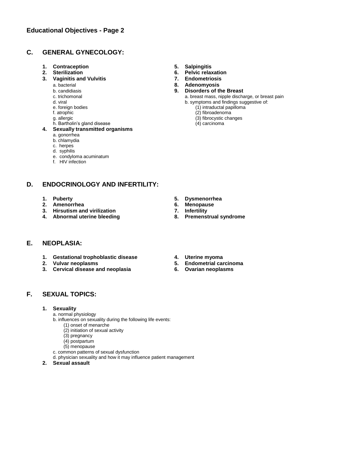### **C. GENERAL GYNECOLOGY:**

- **1. Contraception 5. Salpingitis**
- 
- **3. Vaginitis and Vulvitis 7. Endometriosis**
	-
	-
	-
	-
	-
	-
	-
	- h. Bartholin's gland disease (4) carcinoma
- **4. Sexually transmitted organisms**
	- a. gonorrhea
	- b. chlamydia
	- c. herpes
	- d. syphilis
	- e. condyloma acuminatum
	- f. HIV infection

### **D. ENDOCRINOLOGY AND INFERTILITY:**

- 
- 
- **2.** Amenorrhea **6.** Menopau<br> **3.** Hirsutism and virilization **19. 12.** T. Infertility
- **3. Hirsutism and virilization 7. Infertility 4. Abnormal uterine bleeding 8. Premenstrual syndrome**

### **E. NEOPLASIA:**

- **1. Gestational trophoblastic disease 4. Uterine myoma**
- 
- **2. Vulvar neoplasms 5. Endometrial carcinoma 3. Cervical disease and neoplasia 6. Ovarian neoplasms**
- 
- **2. Sterilization 6. Pelvic relaxation**
	-
	- a. bacterial **8. Adenomyosis**
	- b. candidiasis **9. Disorders of the Breast**
		- a. breast mass, nipple discharge, or breast pain
	- d. viral b. symptoms and findings suggestive of:<br>
	e. foreign bodies (1) intraductal papilloma
	- e. foreign bodies (1) intraductal papilloma<br>
	f. atrophic (2) fibroadenoma<br>
	(2) fibroadenoma
	- f. atrophic (2) fibroadenoma (3) fibroadenoma (3) fibroadenoma (3) fibroadenoma (3) fibroadenoma (3) fibroadenoma (3) fibroadenoma (3) fibroadenoma (3) fibroadenoma (3) fibroadenoma (3) fibroadenoma (3) fibroadenoma (3) fi  $(3)$  fibrocystic changes
		-

- 
- **1. Puberty 5. Dysmenorrhea**
	-
	-
	-
	-
	-

### **F. SEXUAL TOPICS:**

- **1. Sexuality**
	- a. normal physiology
	- b. influences on sexuality during the following life events:
		- (1) onset of menarche
		- (2) initiation of sexual activity
		- (3) pregnancy
		- (4) postpartum
	- (5) menopause
	- c. common patterns of sexual dysfunction d. physician sexuality and how it may influence patient management
- **2. Sexual assault**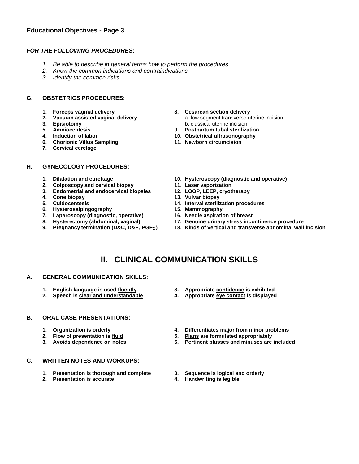### **Educational Objectives - Page 3**

#### *FOR THE FOLLOWING PROCEDURES:*

- *1. Be able to describe in general terms how to perform the procedures*
- *2. Know the common indications and contraindications*
- *3. Identify the common risks*

#### **G. OBSTETRICS PROCEDURES:**

- 
- 
- 
- 
- 
- **6. Chorionic Villus Sampling 11. Newborn circumcision**
- **7. Cervical cerclage**

#### **H. GYNECOLOGY PROCEDURES:**

- 
- 
- **2. Colposcopy and cervical biopsy 11. Laser vaporization 3.** Endometrial and endocervical biopsies
- **4. Cone biopsy 13. Vulvar biopsy**
- 
- **6. Hysterosalpingography 15. Mammography**
- **7. Laparoscopy (diagnostic, operative) 16. Needle aspiration of breast**
- 
- 
- **1. Forceps vaginal delivery 8. Cesarean section delivery 2. Vacuum assisted vaginal delivery a.** low segment transverse uterine incision<br> **3. Episiotomy b.** classical uterine incision<br> **5.** Amniocentesis **9.** Postpartum tubal sterilization **3. Episiotomy** b. classical uterine incision
	- **5. Amniocentesis 9. Postpartum tubal sterilization**
- **4. Induction of labor 10. Obstetrical ultrasonography**
	-
- **1. Dilatation and curettage 10. Hysteroscopy (diagnostic and operative)**
	-
	-
	-
	- **14. Interval sterilization procedures**<br>**15. Mammography**
	-
	-
- **8. Hysterectomy (abdominal, vaginal) 17. Genuine urinary stress incontinence procedure**
- **9. Pregnancy termination (D&C, D&E, PGE<sup>2</sup> ) 18. Kinds of vertical and transverse abdominal wall incision**

### **II. CLINICAL COMMUNICATION SKILLS**

- **A. GENERAL COMMUNICATION SKILLS:**
	-
	-

#### **B. ORAL CASE PRESENTATIONS:**

- 
- 
- 
- **C. WRITTEN NOTES AND WORKUPS:**
	- **1. Presentation is thorough and complete 3. Sequence is logical and orderly**
	- **2. Presentation is accurate 4. Handwriting is legible**
- **1. English language is used fluently 3. Appropriate confidence is exhibited**
- **2. Speech is clear and understandable 4. Appropriate eye contact is displayed**
- **1. Organization is orderly 4. Differentiates major from minor problems**
- **2. Flow of presentation is fluid 5. Plans are formulated appropriately**
	- **3. Avoids dependence on notes 6. Pertinent plusses and minuses are included**
	-
	-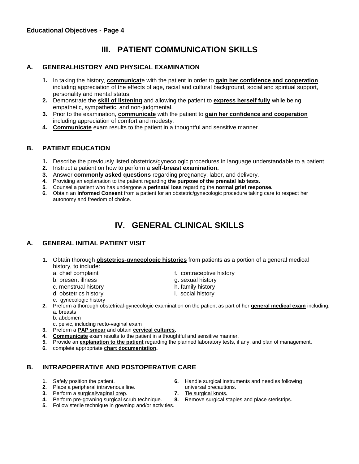## **III. PATIENT COMMUNICATION SKILLS**

### **A. GENERALHISTORY AND PHYSICAL EXAMINATION**

- **1.** In taking the history, **communicat**e with the patient in order to **gain her confidence and cooperation**, including appreciation of the effects of age, racial and cultural background, social and spiritual support, personality and mental status.
- **2.** Demonstrate the **skill of listening** and allowing the patient to **express herself fully** while being empathetic, sympathetic, and non-judgmental.
- **3.** Prior to the examination, **communicate** with the patient to **gain her confidence and cooperation** including appreciation of comfort and modesty.
- **4. Communicate** exam results to the patient in a thoughtful and sensitive manner.

### **B. PATIENT EDUCATION**

- **1.** Describe the previously listed obstetrics/gynecologic procedures in language understandable to a patient.
- **2.** Instruct a patient on how to perform a **self-breast examination.**
- **3.** Answer **commonly asked questions** regarding pregnancy, labor, and delivery.
- **4.** Providing an explanation to the patient regarding **the purpose of the prenatal lab tests.**
- **5.** Counsel a patient who has undergone a **perinatal loss** regarding the **normal grief response.**
- **6.** Obtain an **Informed Consent** from a patient for an obstetric/gynecologic procedure taking care to respect her autonomy and freedom of choice.

# **IV. GENERAL CLINICAL SKILLS**

### **A. GENERAL INITIAL PATIENT VISIT**

- **1.** Obtain thorough **obstetrics-gynecologic histories** from patients as a portion of a general medical history, to include:
	- a. chief complaint and the state of the contraceptive history
	- b. present illness g. sexual history
	- c. menstrual history h. family history
- - d. obstetrics history **i.** social history
	- e. gynecologic history
- 2. Preform a thorough obstetrical-gynecologic examination on the patient as part of her **general medical exam** including: a. breasts
	- b. abdomen
	- c. pelvic, including recto-vaginal exam
- **3.** Preform a **PAP smear** and obtain **cervical cultures.**
- **4. Communicate** exam results to the patient in a thoughtful and sensitive manner.
- **5.** Provide an **explanation to the patient** regarding the planned laboratory tests, if any, and plan of management.
- **6.** complete appropriate **chart documentation.**

### **B. INTRAPOPERATIVE AND POSTOPERATIVE CARE**

- 
- **2.** Place a peripheral intravenous line.<br> **2.** Perform a surgical/vaginal prep.<br> **2.** Tie surgical knots.
- **3.** Perform a surgical/vaginal prep. **7.** Tie surgical knots.
- **4.** Perform pre-gowning surgical scrub technique. **8.** Remove surgical staples and place steristrips.
- **1.** Safely position the patient. **6.** Handle surgical instruments and needles following **2.** Place a peripheral intravenous line. **6.** Handle surgical precautions.
	-
	-
	-
- **5.** Follow sterile technique in gowning and/or activities.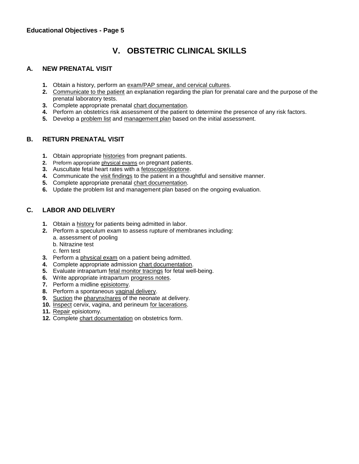# **V. OBSTETRIC CLINICAL SKILLS**

### **A. NEW PRENATAL VISIT**

- **1.** Obtain a history, perform an exam/PAP smear, and cervical cultures.
- **2.** Communicate to the patient an explanation regarding the plan for prenatal care and the purpose of the prenatal laboratory tests.
- **3.** Complete appropriate prenatal chart documentation.
- **4.** Perform an obstetrics risk assessment of the patient to determine the presence of any risk factors.
- **5.** Develop a problem list and management plan based on the initial assessment.

### **B. RETURN PRENATAL VISIT**

- **1.** Obtain appropriate histories from pregnant patients.
- **2.** Preform appropriate physical exams on pregnant patients.
- **3.** Auscultate fetal heart rates with a fetoscope/doptone.
- **4.** Communicate the visit findings to the patient in a thoughtful and sensitive manner.
- **5.** Complete appropriate prenatal chart documentation.
- **6.** Update the problem list and management plan based on the ongoing evaluation.

### **C. LABOR AND DELIVERY**

- **1.** Obtain a history for patients being admitted in labor.
- **2.** Perform a speculum exam to assess rupture of membranes including: a. assessment of pooling
	- b. Nitrazine test
	- c. fern test
- **3.** Perform a physical exam on a patient being admitted.
- **4.** Complete appropriate admission chart documentation.
- **5.** Evaluate intrapartum fetal monitor tracings for fetal well-being.
- **6.** Write appropriate intrapartum progress notes.
- **7.** Perform a midline episiotomy.
- **8.** Perform a spontaneous vaginal delivery.
- **9.** Suction the pharynx/nares of the neonate at delivery.
- **10.** Inspect cervix, vagina, and perineum for lacerations.
- **11.** Repair episiotomy.
- **12.** Complete chart documentation on obstetrics form.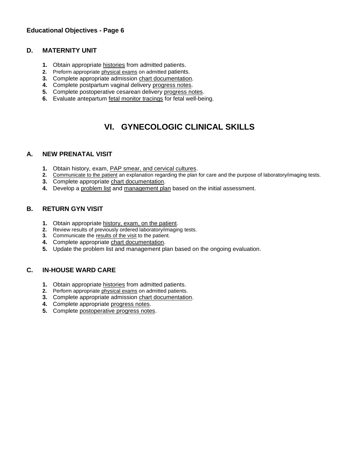### **D. MATERNITY UNIT**

- **1.** Obtain appropriate histories from admitted patients.
- **2.** Preform appropriate physical exams on admitted patients.
- **3.** Complete appropriate admission chart documentation.
- **4.** Complete postpartum vaginal delivery progress notes.
- **5.** Complete postoperative cesarean delivery progress notes.
- **6.** Evaluate antepartum fetal monitor tracings for fetal well-being.

### **VI. GYNECOLOGIC CLINICAL SKILLS**

### **A. NEW PRENATAL VISIT**

- **1.** Obtain history, exam, PAP smear, and cervical cultures.
- **2.** Communicate to the patient an explanation regarding the plan for care and the purpose of laboratory/imaging tests.
- **3.** Complete appropriate chart documentation.
- **4.** Develop a problem list and management plan based on the initial assessment.

### **B. RETURN GYN VISIT**

- **1.** Obtain appropriate history, exam, on the patient.
- **2.** Review results of previously ordered laboratory/imaging tests.
- **3.** Communicate the results of the visit to the patient.
- **4.** Complete appropriate chart documentation.
- **5.** Update the problem list and management plan based on the ongoing evaluation.

### **C. IN-HOUSE WARD CARE**

- **1.** Obtain appropriate histories from admitted patients.
- **2.** Perform appropriate physical exams on admitted patients.
- **3.** Complete appropriate admission chart documentation.
- **4.** Complete appropriate progress notes.
- **5.** Complete postoperative progress notes.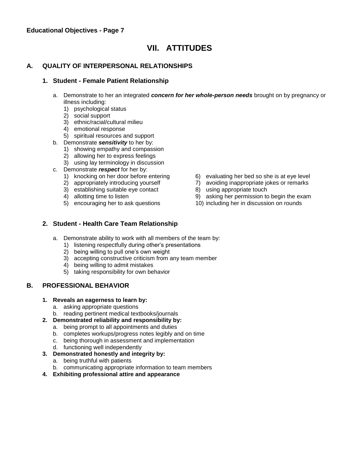### **VII. ATTITUDES**

### **A. QUALITY OF INTERPERSONAL RELATIONSHIPS**

### **1. Student - Female Patient Relationship**

- a. Demonstrate to her an integrated *concern for her whole-person needs* brought on by pregnancy or illness including:
	- 1) psychological status
	- 2) social support
	- 3) ethnic/racial/cultural milieu
	- 4) emotional response
	- 5) spiritual resources and support
- b. Demonstrate *sensitivity* to her by:
	- 1) showing empathy and compassion
	- 2) allowing her to express feelings
	- 3) using lay terminology in discussion
- c. Demonstrate *respect* for her by:
	-
	-
	- 3) establishing suitable eye contact 8) using appropriate touch
	-
	-
	- 1) knocking on her door before entering 6) evaluating her bed so she is at eye level<br>2) appropriately introducing yourself 7) avoiding inappropriate jokes or remarks
		- 7) avoiding inappropriate jokes or remarks
		-
	- 4) allotting time to listen 9) asking her permission to begin the exam 5) encouraging her to ask questions 40) including her in discussion on rounds
		- 10) including her in discussion on rounds

### **2. Student - Health Care Team Relationship**

- a. Demonstrate ability to work with all members of the team by:
	- 1) listening respectfully during other's presentations
	- 2) being willing to pull one's own weight
	- 3) accepting constructive criticism from any team member
	- 4) being willing to admit mistakes
	- 5) taking responsibility for own behavior

### **B. PROFESSIONAL BEHAVIOR**

- **1. Reveals an eagerness to learn by:**
	- a. asking appropriate questions
	- b. reading pertinent medical textbooks/journals
- **2. Demonstrated reliability and responsibility by:**
	- a. being prompt to all appointments and duties
	- b. completes workups/progress notes legibly and on time
	- c. being thorough in assessment and implementation
	- d. functioning well independently
- **3. Demonstrated honestly and integrity by:**
	- a. being truthful with patients
	- b. communicating appropriate information to team members
- **4. Exhibiting professional attire and appearance**